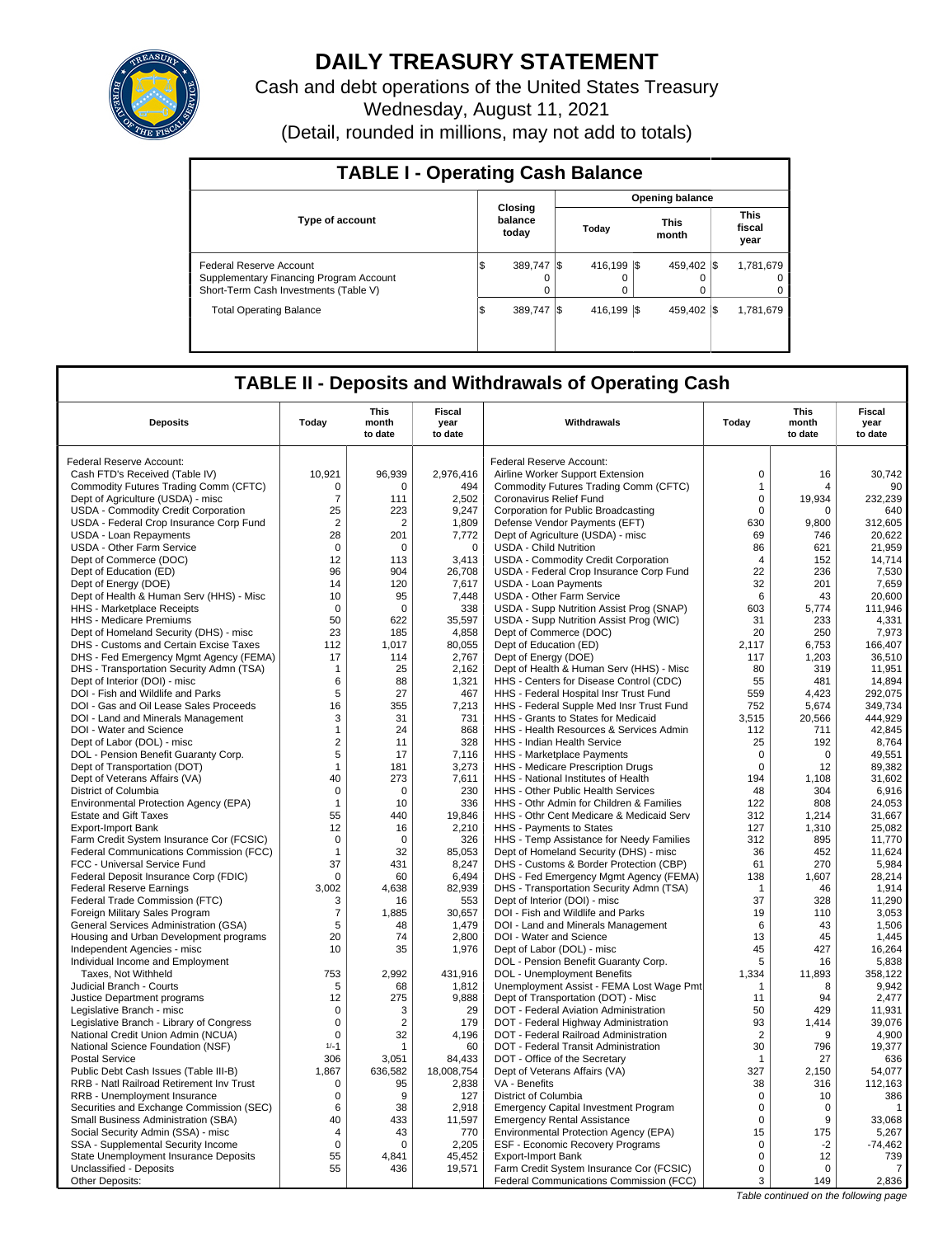

## **DAILY TREASURY STATEMENT**

Cash and debt operations of the United States Treasury Wednesday, August 11, 2021 (Detail, rounded in millions, may not add to totals)

| <b>TABLE I - Operating Cash Balance</b>                                                                     |     |                             |  |                         |  |                      |  |                               |  |  |  |
|-------------------------------------------------------------------------------------------------------------|-----|-----------------------------|--|-------------------------|--|----------------------|--|-------------------------------|--|--|--|
|                                                                                                             |     |                             |  | <b>Opening balance</b>  |  |                      |  |                               |  |  |  |
| <b>Type of account</b>                                                                                      |     | Closing<br>balance<br>today |  | Today                   |  | <b>This</b><br>month |  | <b>This</b><br>fiscal<br>year |  |  |  |
| Federal Reserve Account<br>Supplementary Financing Program Account<br>Short-Term Cash Investments (Table V) | ıэ  | 389,747 \$<br>$\Omega$      |  | 416.199 \\$<br>$\Omega$ |  | 459.402 \\$<br>0     |  | 1,781,679<br>$\Omega$<br>0    |  |  |  |
| <b>Total Operating Balance</b>                                                                              | 1\$ | 389.747 \\$                 |  | 416.199 \\$             |  | 459.402 \\$          |  | 1,781,679                     |  |  |  |

### **TABLE II - Deposits and Withdrawals of Operating Cash**

| <b>Deposits</b>                                 | Today          | This<br>month<br>to date | <b>Fiscal</b><br>year<br>to date | Withdrawals                                                                     | Today          | <b>This</b><br>month<br>to date | <b>Fiscal</b><br>year<br>to date |
|-------------------------------------------------|----------------|--------------------------|----------------------------------|---------------------------------------------------------------------------------|----------------|---------------------------------|----------------------------------|
| Federal Reserve Account:                        |                |                          |                                  | Federal Reserve Account:                                                        |                |                                 |                                  |
| Cash FTD's Received (Table IV)                  | 10,921         | 96,939                   | 2,976,416                        | Airline Worker Support Extension                                                | $\pmb{0}$      | 16                              | 30,742                           |
| Commodity Futures Trading Comm (CFTC)           | $\Omega$       | $\Omega$                 | 494                              | Commodity Futures Trading Comm (CFTC)                                           | $\mathbf{1}$   | Δ                               | 90                               |
| Dept of Agriculture (USDA) - misc               | $\overline{7}$ | 111                      | 2.502                            | Coronavirus Relief Fund                                                         | $\mathbf 0$    | 19,934                          | 232,239                          |
| USDA - Commodity Credit Corporation             | 25             | 223                      | 9,247                            | Corporation for Public Broadcasting                                             | $\mathbf 0$    | $\Omega$                        | 640                              |
| USDA - Federal Crop Insurance Corp Fund         | $\overline{2}$ | 2                        | 1,809                            | Defense Vendor Payments (EFT)                                                   | 630            | 9,800                           | 312,605                          |
| USDA - Loan Repayments                          | 28             | 201                      | 7,772                            | Dept of Agriculture (USDA) - misc                                               | 69             | 746                             | 20,622                           |
| USDA - Other Farm Service                       | $\mathsf 0$    | $\mathbf 0$              | $\mathbf 0$                      | <b>USDA - Child Nutrition</b>                                                   | 86             | 621                             | 21,959                           |
| Dept of Commerce (DOC)                          | 12             | 113                      | 3.413                            | <b>USDA - Commodity Credit Corporation</b>                                      | $\overline{4}$ | 152                             | 14.714                           |
| Dept of Education (ED)                          | 96             | 904                      | 26,708                           | USDA - Federal Crop Insurance Corp Fund                                         | 22             | 236                             | 7,530                            |
| Dept of Energy (DOE)                            | 14             | 120                      | 7,617                            | <b>USDA - Loan Payments</b>                                                     | 32             | 201                             | 7,659                            |
| Dept of Health & Human Serv (HHS) - Misc        | 10             | 95                       | 7,448                            | USDA - Other Farm Service                                                       | 6              | 43                              | 20,600                           |
| <b>HHS</b> - Marketplace Receipts               | $\Omega$       | $\Omega$                 | 338                              | USDA - Supp Nutrition Assist Prog (SNAP)                                        | 603            | 5,774                           | 111,946                          |
| HHS - Medicare Premiums                         | 50             | 622                      | 35,597                           | USDA - Supp Nutrition Assist Prog (WIC)                                         | 31             | 233                             | 4,331                            |
| Dept of Homeland Security (DHS) - misc          | 23             | 185                      | 4,858                            | Dept of Commerce (DOC)                                                          | 20             | 250                             | 7,973                            |
| DHS - Customs and Certain Excise Taxes          | 112            | 1,017                    | 80,055                           | Dept of Education (ED)                                                          | 2,117          | 6,753                           | 166,407                          |
| DHS - Fed Emergency Mgmt Agency (FEMA)          | 17             | 114                      | 2,767                            | Dept of Energy (DOE)                                                            | 117            | 1,203                           | 36,510                           |
| DHS - Transportation Security Admn (TSA)        | $\mathbf{1}$   | 25                       | 2,162                            | Dept of Health & Human Serv (HHS) - Misc                                        | 80             | 319                             | 11,951                           |
| Dept of Interior (DOI) - misc                   | 6              | 88                       | 1,321                            | HHS - Centers for Disease Control (CDC)                                         | 55             | 481                             | 14,894                           |
| DOI - Fish and Wildlife and Parks               | 5              | 27                       | 467                              | HHS - Federal Hospital Insr Trust Fund                                          | 559            | 4,423                           | 292,075                          |
| DOI - Gas and Oil Lease Sales Proceeds          | 16             | 355                      | 7,213                            | HHS - Federal Supple Med Insr Trust Fund                                        | 752            | 5,674                           | 349,734                          |
| DOI - Land and Minerals Management              | 3              | 31                       | 731                              | HHS - Grants to States for Medicaid                                             | 3,515          | 20,566                          | 444,929                          |
| DOI - Water and Science                         | $\mathbf{1}$   | 24                       | 868                              | HHS - Health Resources & Services Admin                                         | 112            | 711                             | 42.845                           |
| Dept of Labor (DOL) - misc                      | $\overline{2}$ | 11                       | 328                              | HHS - Indian Health Service                                                     | 25             | 192                             | 8,764                            |
| DOL - Pension Benefit Guaranty Corp.            | 5              | 17                       | 7,116                            | HHS - Marketplace Payments                                                      | $\mathbf 0$    | $\mathbf 0$                     | 49,551                           |
| Dept of Transportation (DOT)                    | $\mathbf{1}$   | 181                      | 3,273                            | HHS - Medicare Prescription Drugs                                               | $\mathbf 0$    | 12                              | 89,382                           |
| Dept of Veterans Affairs (VA)                   | 40             | 273                      | 7,611                            | HHS - National Institutes of Health                                             | 194            | 1,108                           | 31,602                           |
| District of Columbia                            | 0              | $\mathbf 0$              | 230                              | HHS - Other Public Health Services                                              | 48             | 304                             | 6,916                            |
| Environmental Protection Agency (EPA)           | $\mathbf{1}$   | 10                       | 336                              | HHS - Othr Admin for Children & Families                                        | 122            | 808                             | 24,053                           |
| <b>Estate and Gift Taxes</b>                    | 55             | 440                      | 19,846                           | HHS - Othr Cent Medicare & Medicaid Serv                                        | 312            | 1,214                           | 31,667                           |
| <b>Export-Import Bank</b>                       | 12             | 16                       | 2,210                            | HHS - Payments to States                                                        | 127            | 1,310                           | 25,082                           |
| Farm Credit System Insurance Cor (FCSIC)        | $\mathsf 0$    | $\mathbf 0$              | 326                              | HHS - Temp Assistance for Needy Families                                        | 312            | 895                             | 11,770                           |
| <b>Federal Communications Commission (FCC)</b>  | $\mathbf 1$    | 32                       | 85,053                           | Dept of Homeland Security (DHS) - misc                                          | 36             | 452                             | 11,624                           |
| FCC - Universal Service Fund                    | 37             | 431                      | 8,247                            | DHS - Customs & Border Protection (CBP)                                         | 61             | 270                             | 5,984                            |
| Federal Deposit Insurance Corp (FDIC)           | $\mathbf 0$    | 60                       | 6,494                            | DHS - Fed Emergency Mgmt Agency (FEMA)                                          | 138            | 1,607                           | 28,214                           |
| <b>Federal Reserve Earnings</b>                 | 3,002          | 4,638                    | 82,939                           | DHS - Transportation Security Admn (TSA)                                        | $\mathbf{1}$   | 46                              | 1,914                            |
| Federal Trade Commission (FTC)                  | 3              | 16                       | 553                              | Dept of Interior (DOI) - misc                                                   | 37             | 328                             | 11,290                           |
| Foreign Military Sales Program                  | $\overline{7}$ | 1,885                    | 30,657                           | DOI - Fish and Wildlife and Parks                                               | 19             | 110                             | 3,053                            |
| <b>General Services Administration (GSA)</b>    | 5              | 48                       | 1.479                            | DOI - Land and Minerals Management                                              | 6              | 43                              | 1,506                            |
| Housing and Urban Development programs          | 20             | 74<br>35                 | 2,800                            | DOI - Water and Science                                                         | 13<br>45       | 45<br>427                       | 1,445                            |
| Independent Agencies - misc                     | 10             |                          | 1,976                            | Dept of Labor (DOL) - misc                                                      |                |                                 | 16,264                           |
| Individual Income and Employment                | 753            | 2,992                    | 431,916                          | DOL - Pension Benefit Guaranty Corp.<br><b>DOL</b> - Unemployment Benefits      | 5<br>1,334     | 16<br>11,893                    | 5,838<br>358,122                 |
| Taxes, Not Withheld<br>Judicial Branch - Courts | 5              | 68                       | 1,812                            |                                                                                 | $\overline{1}$ | 8                               | 9,942                            |
| Justice Department programs                     | 12             | 275                      | 9,888                            | Unemployment Assist - FEMA Lost Wage Pmt<br>Dept of Transportation (DOT) - Misc | 11             | 94                              | 2,477                            |
| Legislative Branch - misc                       | $\mathbf 0$    | 3                        | 29                               | DOT - Federal Aviation Administration                                           | 50             | 429                             | 11,931                           |
| Legislative Branch - Library of Congress        | $\mathbf 0$    | $\overline{2}$           | 179                              | DOT - Federal Highway Administration                                            | 93             | 1,414                           | 39,076                           |
| National Credit Union Admin (NCUA)              | $\mathbf 0$    | 32                       | 4,196                            | DOT - Federal Railroad Administration                                           | $\overline{2}$ | 9                               | 4,900                            |
| National Science Foundation (NSF)               | $1/-1$         | 1                        | 60                               | DOT - Federal Transit Administration                                            | 30             | 796                             | 19.377                           |
| <b>Postal Service</b>                           | 306            | 3,051                    | 84,433                           | DOT - Office of the Secretary                                                   | -1             | 27                              | 636                              |
| Public Debt Cash Issues (Table III-B)           | 1.867          | 636,582                  | 18,008,754                       | Dept of Veterans Affairs (VA)                                                   | 327            | 2.150                           | 54,077                           |
| RRB - Natl Railroad Retirement Inv Trust        | $\mathsf 0$    | 95                       | 2,838                            | VA - Benefits                                                                   | 38             | 316                             | 112,163                          |
| RRB - Unemployment Insurance                    | 0              | 9                        | 127                              | District of Columbia                                                            | 0              | 10                              | 386                              |
| Securities and Exchange Commission (SEC)        | 6              | 38                       | 2,918                            | <b>Emergency Capital Investment Program</b>                                     | $\mathbf 0$    | $\mathbf 0$                     | $\mathbf 1$                      |
| Small Business Administration (SBA)             | 40             | 433                      | 11,597                           | <b>Emergency Rental Assistance</b>                                              | $\Omega$       | 9                               | 33,068                           |
| Social Security Admin (SSA) - misc              | 4              | 43                       | 770                              | Environmental Protection Agency (EPA)                                           | 15             | 175                             | 5,267                            |
| SSA - Supplemental Security Income              | $\mathbf 0$    | 0                        | 2,205                            | <b>ESF - Economic Recovery Programs</b>                                         | $\mathbf 0$    | $-2$                            | $-74,462$                        |
| State Unemployment Insurance Deposits           | 55             | 4.841                    | 45,452                           | <b>Export-Import Bank</b>                                                       | $\mathbf 0$    | 12                              | 739                              |
| Unclassified - Deposits                         | 55             | 436                      | 19,571                           | Farm Credit System Insurance Cor (FCSIC)                                        | $\mathbf 0$    | $\Omega$                        | 7                                |
| Other Deposits:                                 |                |                          |                                  | Federal Communications Commission (FCC)                                         | 3              | 149                             | 2,836                            |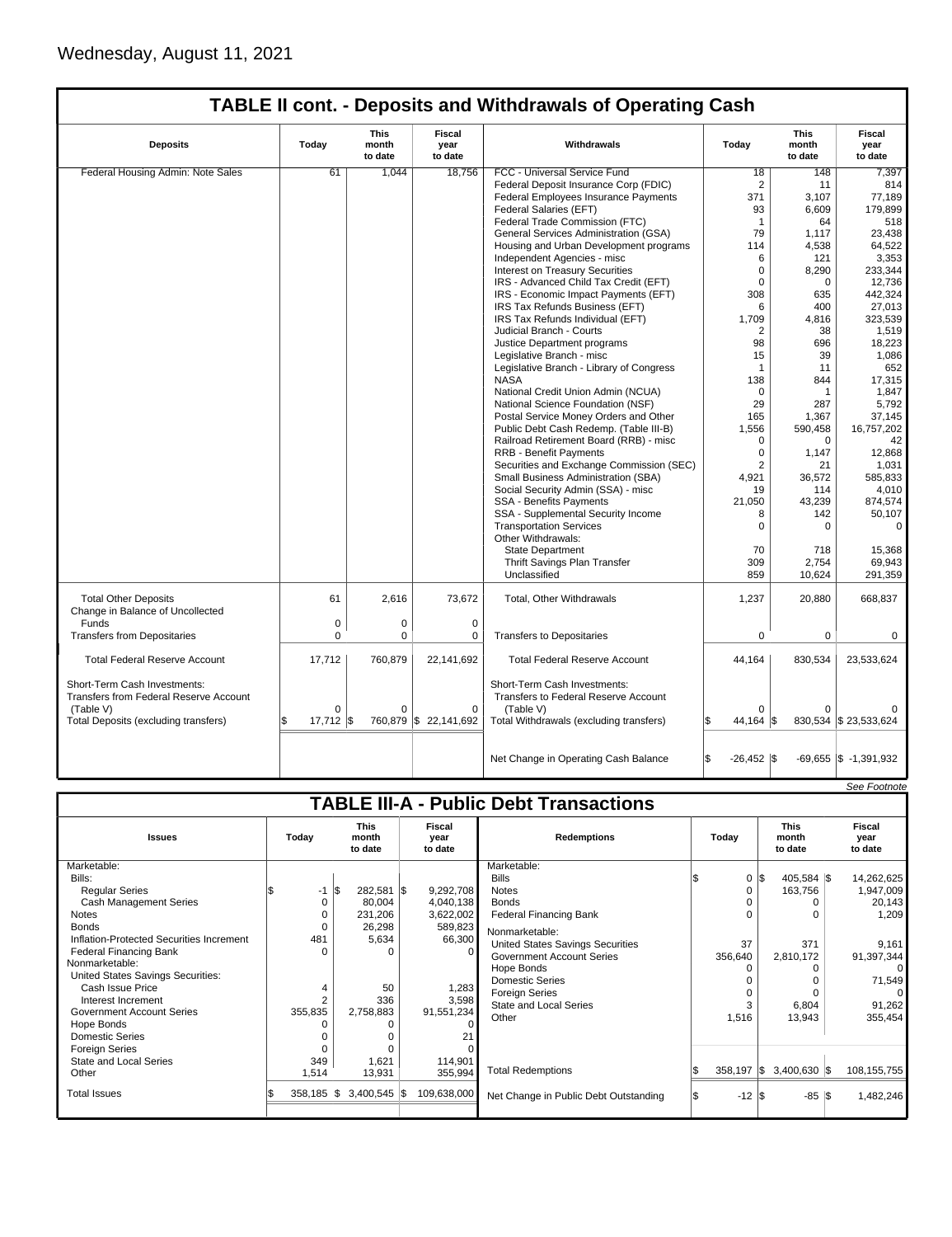# **TABLE II cont. - Deposits and Withdrawals of Operating Cash**

| <b>Deposits</b>                                                                            | Today       | This<br>month<br>to date | Fiscal<br>year<br>to date | Withdrawals                                                                       | Today              | This<br>month<br>to date | Fiscal<br>year<br>to date         |
|--------------------------------------------------------------------------------------------|-------------|--------------------------|---------------------------|-----------------------------------------------------------------------------------|--------------------|--------------------------|-----------------------------------|
| Federal Housing Admin: Note Sales                                                          | 61          | 1.044                    | 18.756                    | FCC - Universal Service Fund                                                      | 18                 | 148                      | 7,397                             |
|                                                                                            |             |                          |                           | Federal Deposit Insurance Corp (FDIC)                                             | 2                  | 11                       | 814                               |
|                                                                                            |             |                          |                           | Federal Employees Insurance Payments                                              | 371                | 3,107                    | 77,189                            |
|                                                                                            |             |                          |                           | Federal Salaries (EFT)                                                            | 93                 | 6.609                    | 179.899                           |
|                                                                                            |             |                          |                           | Federal Trade Commission (FTC)                                                    | $\mathbf{1}$       | 64                       | 518                               |
|                                                                                            |             |                          |                           | General Services Administration (GSA)                                             | 79                 | 1,117                    | 23,438                            |
|                                                                                            |             |                          |                           | Housing and Urban Development programs                                            | 114                | 4,538                    | 64,522                            |
|                                                                                            |             |                          |                           | Independent Agencies - misc                                                       | 6                  | 121                      | 3,353                             |
|                                                                                            |             |                          |                           | <b>Interest on Treasury Securities</b>                                            | $\mathbf 0$        |                          | 233,344                           |
|                                                                                            |             |                          |                           | IRS - Advanced Child Tax Credit (EFT)                                             | $\Omega$           | 8,290<br>$\Omega$        | 12.736                            |
|                                                                                            |             |                          |                           |                                                                                   |                    | 635                      |                                   |
|                                                                                            |             |                          |                           | IRS - Economic Impact Payments (EFT)                                              | 308                |                          | 442,324                           |
|                                                                                            |             |                          |                           | IRS Tax Refunds Business (EFT)                                                    | 6                  | 400                      | 27,013                            |
|                                                                                            |             |                          |                           | IRS Tax Refunds Individual (EFT)                                                  | 1,709              | 4.816                    | 323,539                           |
|                                                                                            |             |                          |                           | Judicial Branch - Courts                                                          | 2                  | 38                       | 1,519                             |
|                                                                                            |             |                          |                           | Justice Department programs                                                       | 98                 | 696                      | 18,223                            |
|                                                                                            |             |                          |                           | Legislative Branch - misc                                                         | 15                 | 39                       | 1,086                             |
|                                                                                            |             |                          |                           | Legislative Branch - Library of Congress                                          | 1                  | 11                       | 652                               |
|                                                                                            |             |                          |                           | <b>NASA</b>                                                                       | 138                | 844                      | 17,315                            |
|                                                                                            |             |                          |                           | National Credit Union Admin (NCUA)                                                | $\Omega$           | 1                        | 1.847                             |
|                                                                                            |             |                          |                           | National Science Foundation (NSF)                                                 | 29                 | 287                      | 5,792                             |
|                                                                                            |             |                          |                           | Postal Service Money Orders and Other                                             | 165                | 1.367                    | 37.145                            |
|                                                                                            |             |                          |                           | Public Debt Cash Redemp. (Table III-B)                                            | 1,556              | 590,458                  | 16,757,202                        |
|                                                                                            |             |                          |                           | Railroad Retirement Board (RRB) - misc                                            | $\Omega$           | $\mathbf 0$              | 42                                |
|                                                                                            |             |                          |                           | <b>RRB - Benefit Payments</b>                                                     | $\Omega$           | 1.147                    | 12.868                            |
|                                                                                            |             |                          |                           | Securities and Exchange Commission (SEC)                                          | $\overline{2}$     | 21                       | 1,031                             |
|                                                                                            |             |                          |                           | Small Business Administration (SBA)                                               | 4,921              | 36,572                   | 585,833                           |
|                                                                                            |             |                          |                           | Social Security Admin (SSA) - misc                                                | 19                 | 114                      | 4,010                             |
|                                                                                            |             |                          |                           | <b>SSA - Benefits Payments</b>                                                    | 21,050             | 43,239                   | 874,574                           |
|                                                                                            |             |                          |                           | SSA - Supplemental Security Income                                                | 8                  | 142                      | 50,107                            |
|                                                                                            |             |                          |                           | <b>Transportation Services</b>                                                    | $\Omega$           | $\Omega$                 | $\Omega$                          |
|                                                                                            |             |                          |                           | Other Withdrawals:                                                                |                    |                          |                                   |
|                                                                                            |             |                          |                           |                                                                                   | 70                 | 718                      | 15,368                            |
|                                                                                            |             |                          |                           | <b>State Department</b>                                                           | 309                |                          | 69,943                            |
|                                                                                            |             |                          |                           | Thrift Savings Plan Transfer                                                      |                    | 2,754                    |                                   |
|                                                                                            |             |                          |                           | Unclassified                                                                      | 859                | 10,624                   | 291,359                           |
| <b>Total Other Deposits</b><br>Change in Balance of Uncollected                            | 61          | 2.616                    | 73.672                    | Total, Other Withdrawals                                                          | 1,237              | 20,880                   | 668,837                           |
| Funds                                                                                      | 0           | 0                        | $\pmb{0}$                 |                                                                                   |                    |                          |                                   |
| <b>Transfers from Depositaries</b>                                                         | $\Omega$    | 0                        | $\Omega$                  | <b>Transfers to Depositaries</b>                                                  | $\mathbf 0$        | 0                        | $\Omega$                          |
| <b>Total Federal Reserve Account</b>                                                       | 17,712      | 760,879                  | 22,141,692                | <b>Total Federal Reserve Account</b>                                              | 44,164             | 830,534                  | 23,533,624                        |
| Short-Term Cash Investments:<br><b>Transfers from Federal Reserve Account</b><br>(Table V) | $\Omega$    | $\Omega$                 | $\Omega$                  | Short-Term Cash Investments:<br>Transfers to Federal Reserve Account<br>(Table V) | $\Omega$           | 0                        |                                   |
| Total Deposits (excluding transfers)                                                       | $17,712$ \$ |                          | 760,879 \$22,141,692      | Total Withdrawals (excluding transfers)                                           | 44,164   \$        |                          | 830,534 \$23,533,624              |
|                                                                                            |             |                          |                           | Net Change in Operating Cash Balance                                              | Ŝ.<br>$-26,452$ \$ |                          | $-69,655$ $\vert$ \$ $-1,391,932$ |

|                                                                                                                                                                                                                                                                                                                                                                                                                                |                                                                               |                                                                                                                              |                                                                                                                      |                                                                                                                                                                                                                                                                                                                               |                                                  |                                                                                                                            | See Footnote                                                                                                                              |
|--------------------------------------------------------------------------------------------------------------------------------------------------------------------------------------------------------------------------------------------------------------------------------------------------------------------------------------------------------------------------------------------------------------------------------|-------------------------------------------------------------------------------|------------------------------------------------------------------------------------------------------------------------------|----------------------------------------------------------------------------------------------------------------------|-------------------------------------------------------------------------------------------------------------------------------------------------------------------------------------------------------------------------------------------------------------------------------------------------------------------------------|--------------------------------------------------|----------------------------------------------------------------------------------------------------------------------------|-------------------------------------------------------------------------------------------------------------------------------------------|
|                                                                                                                                                                                                                                                                                                                                                                                                                                |                                                                               |                                                                                                                              |                                                                                                                      | <b>TABLE III-A - Public Debt Transactions</b>                                                                                                                                                                                                                                                                                 |                                                  |                                                                                                                            |                                                                                                                                           |
| <b>Issues</b>                                                                                                                                                                                                                                                                                                                                                                                                                  | Today                                                                         | <b>This</b><br>month<br>to date                                                                                              | Fiscal<br>vear<br>to date                                                                                            | <b>Redemptions</b>                                                                                                                                                                                                                                                                                                            | Todav                                            | <b>This</b><br>month<br>to date                                                                                            | Fiscal<br>year<br>to date                                                                                                                 |
| Marketable:<br>Bills:<br><b>Regular Series</b><br><b>Cash Management Series</b><br><b>Notes</b><br><b>Bonds</b><br>Inflation-Protected Securities Increment<br><b>Federal Financing Bank</b><br>Nonmarketable:<br>United States Savings Securities:<br>Cash Issue Price<br>Interest Increment<br><b>Government Account Series</b><br>Hope Bonds<br>Domestic Series<br><b>Foreign Series</b><br>State and Local Series<br>Other | $-1$<br>$\Omega$<br>$\Omega$<br>481<br>ŋ<br>4<br>2<br>355,835<br>349<br>1,514 | <b>S</b><br>282,581 \$<br>80,004<br>231,206<br>26,298<br>5,634<br>$\Omega$<br>50<br>336<br>2,758,883<br>ŋ<br>1,621<br>13,931 | 9,292,708<br>4,040,138<br>3,622,002<br>589,823<br>66,300<br>1,283<br>3,598<br>91,551,234<br>21<br>114,901<br>355,994 | Marketable:<br><b>Bills</b><br><b>Notes</b><br><b>Bonds</b><br><b>Federal Financing Bank</b><br>Nonmarketable:<br>United States Savings Securities<br><b>Government Account Series</b><br>Hope Bonds<br><b>Domestic Series</b><br><b>Foreign Series</b><br><b>State and Local Series</b><br>Other<br><b>Total Redemptions</b> | 0<br>37<br>356,640<br>3<br>1,516<br>$358,197$ \$ | I\$<br>$405,584$ \\$<br>163,756<br>0<br>$\Omega$<br>371<br>2,810,172<br>0<br>$\Omega$<br>6,804<br>13,943<br>$3,400,630$ \$ | 14,262,625<br>1,947,009<br>20,143<br>1,209<br>9,161<br>91,397,344<br>$\Omega$<br>71,549<br>$\Omega$<br>91,262<br>355,454<br>108, 155, 755 |
| <b>Total Issues</b>                                                                                                                                                                                                                                                                                                                                                                                                            | $358,185$ \\$                                                                 | $3.400.545$ \\$                                                                                                              | 109.638.000                                                                                                          | Net Change in Public Debt Outstanding                                                                                                                                                                                                                                                                                         | $-12$ \$<br>1\$                                  | $-85$ $\sqrt{3}$                                                                                                           | 1,482,246                                                                                                                                 |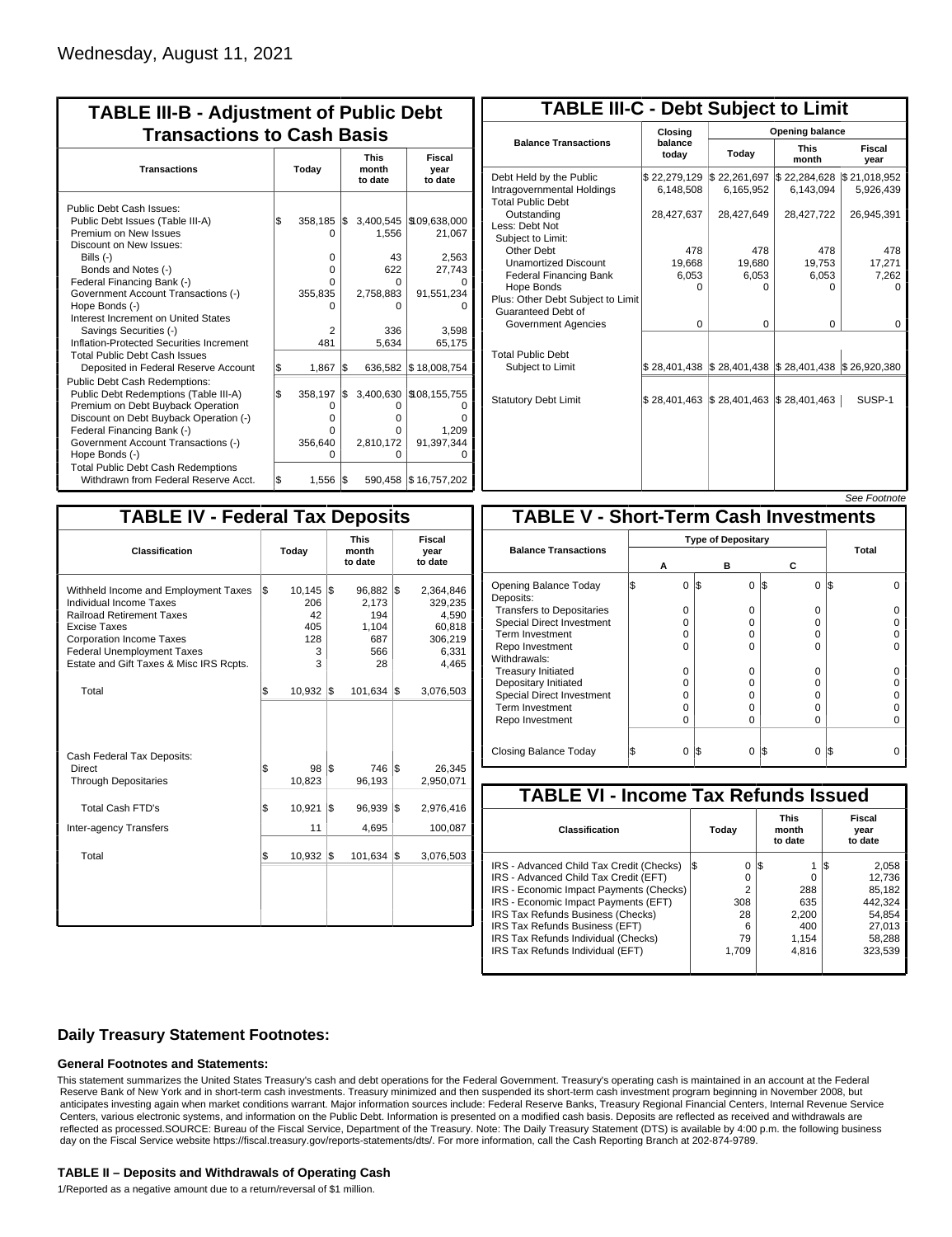| <b>TABLE III-B - Adjustment of Public Debt</b><br><b>Transactions to Cash Basis</b>                                                                                                                                                                      |       |                                                      |     |                                            |                                                |                                 |                           |  |  |  |
|----------------------------------------------------------------------------------------------------------------------------------------------------------------------------------------------------------------------------------------------------------|-------|------------------------------------------------------|-----|--------------------------------------------|------------------------------------------------|---------------------------------|---------------------------|--|--|--|
| <b>Transactions</b>                                                                                                                                                                                                                                      | Today |                                                      |     |                                            |                                                | <b>This</b><br>month<br>to date | Fiscal<br>year<br>to date |  |  |  |
| Public Debt Cash Issues:<br>Public Debt Issues (Table III-A)<br>Premium on New Issues<br>Discount on New Issues:<br>Bills (-)<br>Bonds and Notes (-)                                                                                                     | 1\$   | 358,185<br>O<br>0<br>0                               | I\$ | 3,400,545<br>1.556<br>43<br>622            | \$109,638,000<br>21,067<br>2,563<br>27,743     |                                 |                           |  |  |  |
| Federal Financing Bank (-)<br>Government Account Transactions (-)<br>Hope Bonds (-)<br>Interest Increment on United States<br>Savings Securities (-)<br>Inflation-Protected Securities Increment                                                         |       | 0<br>355,835<br>U<br>2<br>481                        |     | U<br>2,758,883<br>n<br>336<br>5.634        | 91,551,234<br>3,598<br>65,175                  |                                 |                           |  |  |  |
| <b>Total Public Debt Cash Issues</b><br>Deposited in Federal Reserve Account<br>Public Debt Cash Redemptions:                                                                                                                                            | \$    | 1,867                                                | l\$ | 636,582                                    | \$18,008,754                                   |                                 |                           |  |  |  |
| Public Debt Redemptions (Table III-A)<br>Premium on Debt Buyback Operation<br>Discount on Debt Buyback Operation (-)<br>Federal Financing Bank (-)<br>Government Account Transactions (-)<br>Hope Bonds (-)<br><b>Total Public Debt Cash Redemptions</b> | l\$   | 358,197<br>$\Omega$<br>$\Omega$<br>0<br>356,640<br>O | \$  | 3,400,630<br>0<br>o<br>U<br>2,810,172<br>ი | \$108,155,755<br>n<br>1,209<br>91,397,344<br>0 |                                 |                           |  |  |  |
| Withdrawn from Federal Reserve Acct.                                                                                                                                                                                                                     | l\$   | 1,556                                                | 1\$ |                                            | 590,458 \$16,757,202                           |                                 |                           |  |  |  |

| <b>TABLE III-C - Debt Subject to Limit</b>                                        |                           |                                                           |                           |                           |  |  |  |  |  |  |
|-----------------------------------------------------------------------------------|---------------------------|-----------------------------------------------------------|---------------------------|---------------------------|--|--|--|--|--|--|
|                                                                                   | Closing                   |                                                           | Opening balance           |                           |  |  |  |  |  |  |
| <b>Balance Transactions</b>                                                       | balance<br>today          | Today                                                     | <b>This</b><br>month      | Fiscal<br>year            |  |  |  |  |  |  |
| Debt Held by the Public<br>Intragovernmental Holdings<br><b>Total Public Debt</b> | \$22,279,129<br>6,148,508 | \$22,261,697<br>6,165,952                                 | \$22,284,628<br>6,143,094 | \$21,018,952<br>5,926,439 |  |  |  |  |  |  |
| Outstanding<br>Less: Debt Not<br>Subiect to Limit:                                | 28,427,637                | 28,427,649                                                | 28,427,722                | 26,945,391                |  |  |  |  |  |  |
| Other Debt                                                                        | 478                       | 478                                                       | 478                       | 478                       |  |  |  |  |  |  |
| <b>Unamortized Discount</b>                                                       | 19,668                    | 19,680                                                    | 19,753                    | 17,271                    |  |  |  |  |  |  |
| <b>Federal Financing Bank</b>                                                     | 6,053                     | 6,053                                                     | 6,053                     | 7,262                     |  |  |  |  |  |  |
| Hope Bonds<br>Plus: Other Debt Subject to Limit<br>Guaranteed Debt of             | $\Omega$                  | $\Omega$                                                  | 0                         | o                         |  |  |  |  |  |  |
| Government Agencies                                                               | $\Omega$                  | $\Omega$                                                  | $\Omega$                  | 0                         |  |  |  |  |  |  |
| <b>Total Public Debt</b><br>Subject to Limit                                      |                           | \$28,401,438   \$28,401,438   \$28,401,438   \$26,920,380 |                           |                           |  |  |  |  |  |  |
| <b>Statutory Debt Limit</b>                                                       | \$28,401,463              | \$28,401,463                                              | \$28,401,463              | SUSP-1                    |  |  |  |  |  |  |
|                                                                                   |                           |                                                           |                           |                           |  |  |  |  |  |  |

|--|

| <b>TABLE IV - Federal Tax Deposits</b>                                                                                                                                                                                                 |       |                                                  |     |                                                          |                           |                                                                      |  |  |  |  |
|----------------------------------------------------------------------------------------------------------------------------------------------------------------------------------------------------------------------------------------|-------|--------------------------------------------------|-----|----------------------------------------------------------|---------------------------|----------------------------------------------------------------------|--|--|--|--|
| Classification                                                                                                                                                                                                                         | Today |                                                  |     | <b>This</b><br>month<br>to date                          | Fiscal<br>year<br>to date |                                                                      |  |  |  |  |
| Withheld Income and Employment Taxes<br>Individual Income Taxes<br><b>Railroad Retirement Taxes</b><br>Excise Taxes<br><b>Corporation Income Taxes</b><br><b>Federal Unemployment Taxes</b><br>Estate and Gift Taxes & Misc IRS Rcpts. | l\$   | $10,145$ \$<br>206<br>42<br>405<br>128<br>3<br>3 |     | $96,882$ \$<br>2,173<br>194<br>1,104<br>687<br>566<br>28 |                           | 2,364,846<br>329,235<br>4,590<br>60,818<br>306,219<br>6,331<br>4,465 |  |  |  |  |
| Total                                                                                                                                                                                                                                  | \$    | 10,932                                           | 1\$ | 101,634                                                  | 1\$                       | 3,076,503                                                            |  |  |  |  |
| Cash Federal Tax Deposits:<br>Direct<br><b>Through Depositaries</b>                                                                                                                                                                    | \$    | 98<br>10,823                                     | l\$ | 746 \$<br>96,193                                         |                           | 26,345<br>2,950,071                                                  |  |  |  |  |
| Total Cash FTD's                                                                                                                                                                                                                       | \$    | 10,921                                           | 1\$ | 96,939                                                   | 1\$                       | 2,976,416                                                            |  |  |  |  |
| <b>Inter-agency Transfers</b>                                                                                                                                                                                                          |       | 11                                               |     | 4,695                                                    |                           | 100,087                                                              |  |  |  |  |
| Total                                                                                                                                                                                                                                  | l\$   | 10,932                                           | 1\$ | 101,634                                                  | 1\$                       | 3,076,503                                                            |  |  |  |  |
|                                                                                                                                                                                                                                        |       |                                                  |     |                                                          |                           |                                                                      |  |  |  |  |

|                                              |                           |   |     |          |          |     | OCC I UUUIUIG |  |  |
|----------------------------------------------|---------------------------|---|-----|----------|----------|-----|---------------|--|--|
| <b>TABLE V - Short-Term Cash Investments</b> |                           |   |     |          |          |     |               |  |  |
|                                              | <b>Type of Depositary</b> |   |     |          |          |     |               |  |  |
| <b>Balance Transactions</b>                  |                           | А |     | в        | с        |     | Total         |  |  |
| Opening Balance Today<br>Deposits:           | S                         | 0 | 1\$ | $\Omega$ | 1\$<br>0 | l\$ |               |  |  |
| <b>Transfers to Depositaries</b>             |                           | O |     | 0        | O        |     |               |  |  |
| <b>Special Direct Investment</b>             |                           | O |     | 0        | 0        |     |               |  |  |
| Term Investment                              |                           | O |     | 0        | O        |     |               |  |  |
| Repo Investment                              |                           | O |     | $\Omega$ | 0        |     |               |  |  |
| Withdrawals:                                 |                           |   |     |          |          |     |               |  |  |
| <b>Treasury Initiated</b>                    |                           | O |     | 0        | O        |     |               |  |  |
| Depositary Initiated                         |                           | O |     | 0        | O        |     |               |  |  |
| <b>Special Direct Investment</b>             |                           | 0 |     | 0        | 0        |     |               |  |  |
| <b>Term Investment</b>                       |                           | O |     | $\Omega$ | 0        |     |               |  |  |
| Repo Investment                              |                           | 0 |     | $\Omega$ | O        |     |               |  |  |
| Closing Balance Today                        |                           | 0 | I\$ | 0        | 0<br>13  | I\$ |               |  |  |

| <b>TABLE VI - Income Tax Refunds Issued</b> |       |                                 |     |       |                           |         |  |  |  |  |
|---------------------------------------------|-------|---------------------------------|-----|-------|---------------------------|---------|--|--|--|--|
| Classification                              | Today | <b>This</b><br>month<br>to date |     |       | Fiscal<br>year<br>to date |         |  |  |  |  |
| IRS - Advanced Child Tax Credit (Checks)    | 13    | 0                               | 1\$ |       | ıъ                        | 2,058   |  |  |  |  |
| IRS - Advanced Child Tax Credit (EFT)       |       | 0                               |     | O     |                           | 12,736  |  |  |  |  |
| IRS - Economic Impact Payments (Checks)     |       | 2                               |     | 288   |                           | 85.182  |  |  |  |  |
| IRS - Economic Impact Payments (EFT)        | 308   |                                 |     | 635   |                           | 442,324 |  |  |  |  |
| IRS Tax Refunds Business (Checks)           |       | 28                              |     | 2.200 |                           | 54.854  |  |  |  |  |
| IRS Tax Refunds Business (EFT)              |       | 6                               |     | 400   |                           | 27.013  |  |  |  |  |
| IRS Tax Refunds Individual (Checks)         |       | 79                              |     | 1,154 |                           | 58,288  |  |  |  |  |
| IRS Tax Refunds Individual (EFT)            | 1.709 |                                 |     | 4,816 |                           | 323,539 |  |  |  |  |
|                                             |       |                                 |     |       |                           |         |  |  |  |  |

### **Daily Treasury Statement Footnotes:**

#### **General Footnotes and Statements:**

This statement summarizes the United States Treasury's cash and debt operations for the Federal Government. Treasury's operating cash is maintained in an account at the Federal Reserve Bank of New York and in short-term cash investments. Treasury minimized and then suspended its short-term cash investment program beginning in November 2008, but anticipates investing again when market conditions warrant. Major information sources include: Federal Reserve Banks, Treasury Regional Financial Centers, Internal Revenue Service Centers, various electronic systems, and information on the Public Debt. Information is presented on a modified cash basis. Deposits are reflected as received and withdrawals are reflected as processed.SOURCE: Bureau of the Fiscal Service, Department of the Treasury. Note: The Daily Treasury Statement (DTS) is available by 4:00 p.m. the following business day on the Fiscal Service website https://fiscal.treasury.gov/reports-statements/dts/. For more information, call the Cash Reporting Branch at 202-874-9789.

#### **TABLE II – Deposits and Withdrawals of Operating Cash**

1/Reported as a negative amount due to a return/reversal of \$1 million.